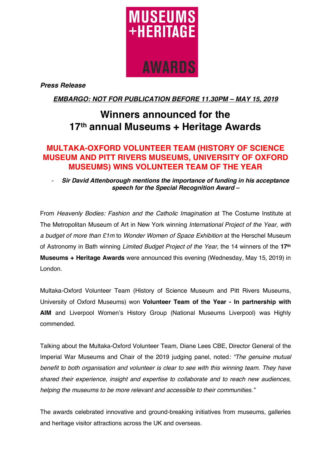

*Press Release*

*EMBARGO: NOT FOR PUBLICATION BEFORE 11.30PM – MAY 15, 2019*

# **Winners announced for the 17th annual Museums + Heritage Awards**

# **MULTAKA-OXFORD VOLUNTEER TEAM (HISTORY OF SCIENCE MUSEUM AND PITT RIVERS MUSEUMS, UNIVERSITY OF OXFORD MUSEUMS) WINS VOLUNTEER TEAM OF THE YEAR**

- *Sir David Attenborough mentions the importance of funding in his acceptance speech for the Special Recognition Award –*

From *Heavenly Bodies: Fashion and the Catholic Imagination* at The Costume Institute at The Metropolitan Museum of Art in New York winning *International Project of the Year, with a budget of more than £1m* to *Wonder Women of Space Exhibition* at the Herschel Museum of Astronomy in Bath winning *Limited Budget Project of the Year*, the 14 winners of the **17th Museums + Heritage Awards** were announced this evening (Wednesday, May 15, 2019) in London.

Multaka-Oxford Volunteer Team (History of Science Museum and Pitt Rivers Museums, University of Oxford Museums) won **Volunteer Team of the Year - In partnership with AIM** and Liverpool Women's History Group (National Museums Liverpool) was Highly commended.

Talking about the Multaka-Oxford Volunteer Team*,* Diane Lees CBE, Director General of the Imperial War Museums and Chair of the 2019 judging panel, noted*: "The genuine mutual benefit to both organisation and volunteer is clear to see with this winning team. They have shared their experience, insight and expertise to collaborate and to reach new audiences, helping the museums to be more relevant and accessible to their communities."*

The awards celebrated innovative and ground-breaking initiatives from museums, galleries and heritage visitor attractions across the UK and overseas.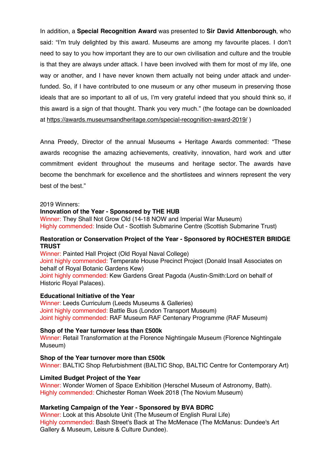In addition, a **Special Recognition Award** was presented to **Sir David Attenborough**, who said: "I'm truly delighted by this award. Museums are among my favourite places. I don't need to say to you how important they are to our own civilisation and culture and the trouble is that they are always under attack. I have been involved with them for most of my life, one way or another, and I have never known them actually not being under attack and underfunded. So, if I have contributed to one museum or any other museum in preserving those ideals that are so important to all of us, I'm very grateful indeed that you should think so, if this award is a sign of that thought. Thank you very much." (the footage can be downloaded at https://awards.museumsandheritage.com/special-recognition-award-2019/ )

Anna Preedy, Director of the annual Museums + Heritage Awards commented: "These awards recognise the amazing achievements, creativity, innovation, hard work and utter commitment evident throughout the museums and heritage sector. The awards have become the benchmark for excellence and the shortlistees and winners represent the very best of the best."

## 2019 Winners:

#### **Innovation of the Year - Sponsored by THE HUB**

Winner: They Shall Not Grow Old (14-18 NOW and Imperial War Museum) Highly commended: Inside Out - Scottish Submarine Centre (Scottish Submarine Trust)

# **Restoration or Conservation Project of the Year - Sponsored by ROCHESTER BRIDGE TRUST**

Winner: Painted Hall Project (Old Royal Naval College) Joint highly commended: Temperate House Precinct Project (Donald Insall Associates on behalf of Royal Botanic Gardens Kew) Joint highly commended: Kew Gardens Great Pagoda (Austin-Smith:Lord on behalf of Historic Royal Palaces).

#### **Educational Initiative of the Year**

Winner: Leeds Curriculum (Leeds Museums & Galleries) Joint highly commended: Battle Bus (London Transport Museum) Joint highly commended: RAF Museum RAF Centenary Programme (RAF Museum)

#### **Shop of the Year turnover less than £500k**

Winner: Retail Transformation at the Florence Nightingale Museum (Florence Nightingale Museum)

# **Shop of the Year turnover more than £500k**

Winner: BALTIC Shop Refurbishment (BALTIC Shop, BALTIC Centre for Contemporary Art)

#### **Limited Budget Project of the Year**

Winner: Wonder Women of Space Exhibition (Herschel Museum of Astronomy, Bath). Highly commended: Chichester Roman Week 2018 (The Novium Museum)

#### **Marketing Campaign of the Year - Sponsored by BVA BDRC**

Winner: Look at this Absolute Unit (The Museum of English Rural Life) Highly commended: Bash Street's Back at The McMenace (The McManus: Dundee's Art Gallery & Museum, Leisure & Culture Dundee).